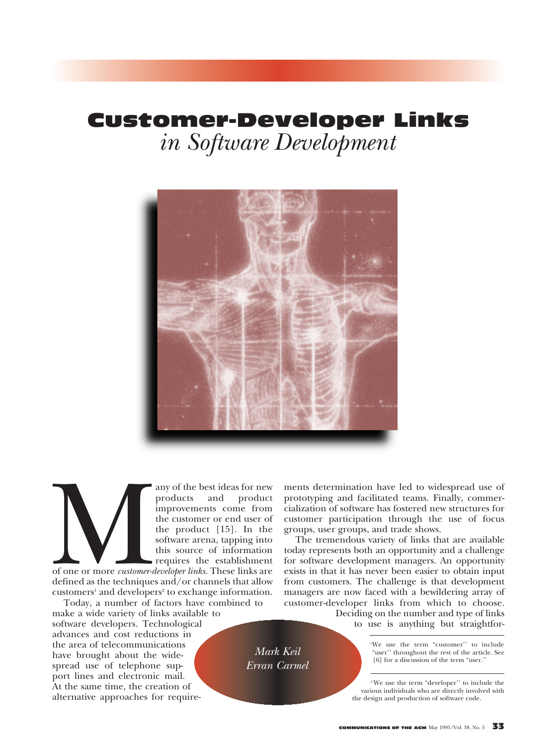# Customer-Developer Links *in Software Development*



*Mark Keil Erran Carmel*

any of the best ideas for new<br>products and product<br>improvements come from<br>the customer or end user of<br>the product [15]. In the<br>software arena, tapping into<br>this source of information<br>of one or more *customer-developer link* products and product improvements come from the customer or end user of the product [15]. In the software arena, tapping into this source of information requires the establishment

of one or more *customer-developer links.* These links are defined as the techniques and/or channels that allow customers<sup>1</sup> and developers<sup>2</sup> to exchange information.

Today, a number of factors have combined to make a wide variety of links available to software developers. Technological advances and cost reductions in the area of telecommunications have brought about the widespread use of telephone support lines and electronic mail. At the same time, the creation of alternative approaches for requirements determination have led to widespread use of prototyping and facilitated teams. Finally, commercialization of software has fostered new structures for customer participation through the use of focus groups, user groups, and trade shows.

The tremendous variety of links that are available today represents both an opportunity and a challenge for software development managers. An opportunity exists in that it has never been easier to obtain input from customers. The challenge is that development managers are now faced with a bewildering array of customer-developer links from which to choose.

Deciding on the number and type of links to use is anything but straightfor-

> 1We use the term "customer'' to include "user'' throughout the rest of the article. See [6] for a discussion of the term "user.'

2 We use the term "developer'' to include the various individuals who are directly involved with the design and production of software code.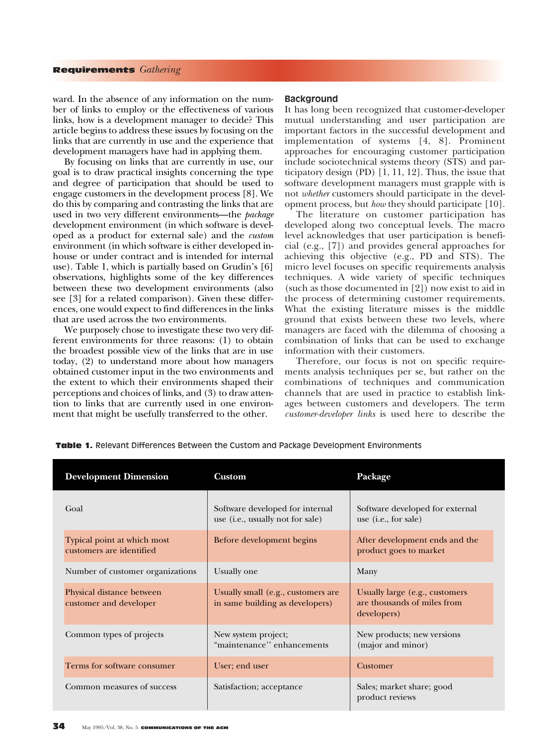ward. In the absence of any information on the number of links to employ or the effectiveness of various links, how is a development manager to decide? This article begins to address these issues by focusing on the links that are currently in use and the experience that development managers have had in applying them.

By focusing on links that are currently in use, our goal is to draw practical insights concerning the type and degree of participation that should be used to engage customers in the development process [8]. We do this by comparing and contrasting the links that are used in two very different environments—the *package* development environment (in which software is developed as a product for external sale) and the *custom* environment (in which software is either developed inhouse or under contract and is intended for internal use). Table 1, which is partially based on Grudin's [6] observations, highlights some of the key differences between these two development environments (also see [3] for a related comparison). Given these differences, one would expect to find differences in the links that are used across the two environments.

We purposely chose to investigate these two very different environments for three reasons: (1) to obtain the broadest possible view of the links that are in use today, (2) to understand more about how managers obtained customer input in the two environments and the extent to which their environments shaped their perceptions and choices of links, and (3) to draw attention to links that are currently used in one environment that might be usefully transferred to the other.

## **Background**

It has long been recognized that customer-developer mutual understanding and user participation are important factors in the successful development and implementation of systems [4, 8]. Prominent approaches for encouraging customer participation include sociotechnical systems theory (STS) and participatory design (PD) [1, 11, 12]. Thus, the issue that software development managers must grapple with is not *whether* customers should participate in the development process, but *how* they should participate [10].

The literature on customer participation has developed along two conceptual levels. The macro level acknowledges that user participation is beneficial (e.g., [7]) and provides general approaches for achieving this objective (e.g., PD and STS). The micro level focuses on specific requirements analysis techniques. A wide variety of specific techniques (such as those documented in [2]) now exist to aid in the process of determining customer requirements. What the existing literature misses is the middle ground that exists between these two levels, where managers are faced with the dilemma of choosing a combination of links that can be used to exchange information with their customers.

Therefore, our focus is not on specific requirements analysis techniques per se, but rather on the combinations of techniques and communication channels that are used in practice to establish linkages between customers and developers. The term *customer-developer links* is used here to describe the

| <b>Development Dimension</b>                            | <b>Custom</b>                                                         | Package                                                                      |
|---------------------------------------------------------|-----------------------------------------------------------------------|------------------------------------------------------------------------------|
| Goal                                                    | Software developed for internal<br>use (i.e., usually not for sale)   | Software developed for external<br>use ( <i>i.e.</i> , for sale)             |
| Typical point at which most<br>customers are identified | Before development begins                                             | After development ends and the<br>product goes to market                     |
| Number of customer organizations                        | Usually one                                                           | Many                                                                         |
| Physical distance between<br>customer and developer     | Usually small (e.g., customers are<br>in same building as developers) | Usually large (e.g., customers<br>are thousands of miles from<br>developers) |
| Common types of projects                                | New system project;<br>"maintenance" enhancements                     | New products; new versions<br>(major and minor)                              |
| Terms for software consumer                             | User; end user                                                        | Customer                                                                     |
| Common measures of success                              | Satisfaction; acceptance                                              | Sales; market share; good<br>product reviews                                 |

Table 1. Relevant Differences Between the Custom and Package Development Environments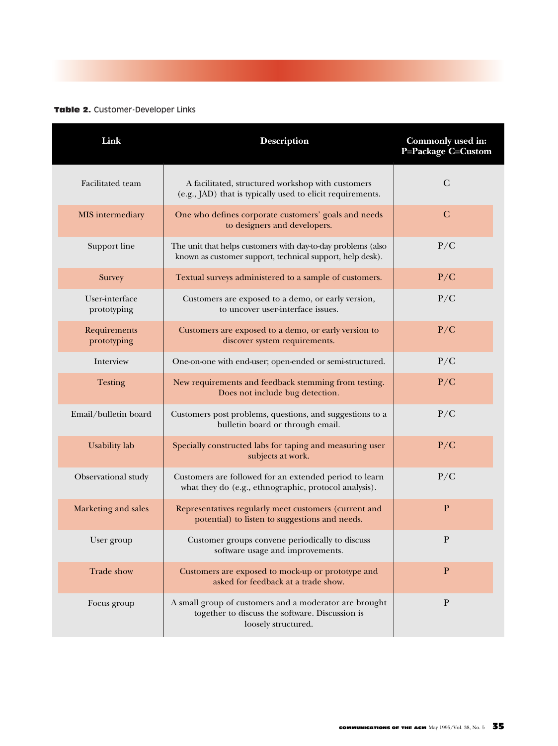## Table 2. Customer-Developer Links

| Link                                 | <b>Description</b>                                                                                                               | Commonly used in:<br>P=Package C=Custom |
|--------------------------------------|----------------------------------------------------------------------------------------------------------------------------------|-----------------------------------------|
| Facilitated team                     | A facilitated, structured workshop with customers<br>(e.g., JAD) that is typically used to elicit requirements.                  | $\mathcal{C}$                           |
| MIS intermediary                     | One who defines corporate customers' goals and needs<br>to designers and developers.                                             | $\mathbf C$                             |
| Support line                         | The unit that helps customers with day-to-day problems (also<br>known as customer support, technical support, help desk).        | P/C                                     |
| Survey                               | Textual surveys administered to a sample of customers.                                                                           | P/C                                     |
| <b>User-interface</b><br>prototyping | Customers are exposed to a demo, or early version,<br>to uncover user-interface issues.                                          | P/C                                     |
| Requirements<br>prototyping          | Customers are exposed to a demo, or early version to<br>discover system requirements.                                            | P/C                                     |
| Interview                            | One-on-one with end-user; open-ended or semi-structured.                                                                         | P/C                                     |
| <b>Testing</b>                       | New requirements and feedback stemming from testing.<br>Does not include bug detection.                                          | P/C                                     |
| Email/bulletin board                 | Customers post problems, questions, and suggestions to a<br>bulletin board or through email.                                     | P/C                                     |
| <b>Usability</b> lab                 | Specially constructed labs for taping and measuring user<br>subjects at work.                                                    | P/C                                     |
| Observational study                  | Customers are followed for an extended period to learn<br>what they do (e.g., ethnographic, protocol analysis).                  | P/C                                     |
| Marketing and sales                  | Representatives regularly meet customers (current and<br>potential) to listen to suggestions and needs.                          | $\mathbf{P}$                            |
| User group                           | Customer groups convene periodically to discuss<br>software usage and improvements.                                              | $\mathbf{P}$                            |
| Trade show                           | Customers are exposed to mock-up or prototype and<br>asked for feedback at a trade show.                                         | P                                       |
| Focus group                          | A small group of customers and a moderator are brought<br>together to discuss the software. Discussion is<br>loosely structured. | P                                       |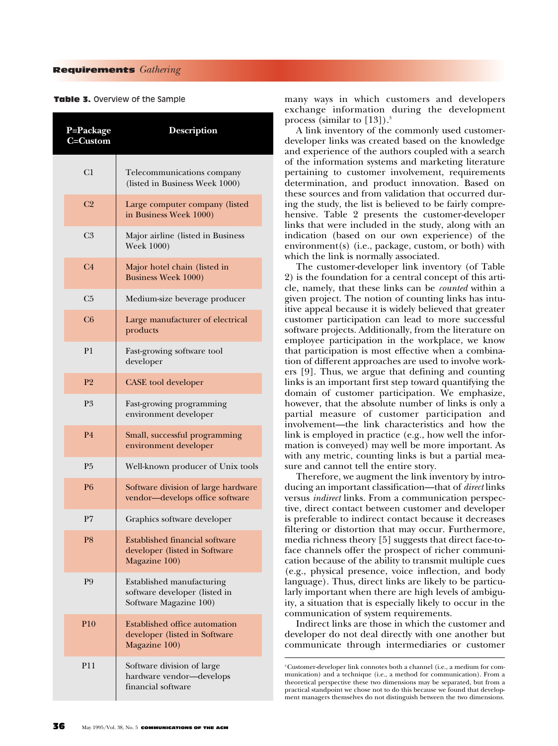#### Table 3. Overview of the Sample

| P=Package<br>$\overline{C}=\overline{Custom}$ | <b>Description</b>                                                                      |  |
|-----------------------------------------------|-----------------------------------------------------------------------------------------|--|
| C1                                            | Telecommunications company<br>(listed in Business Week 1000)                            |  |
| C <sub>2</sub>                                | Large computer company (listed<br>in Business Week 1000)                                |  |
| C <sub>3</sub>                                | Major airline (listed in Business<br>Week 1000)                                         |  |
| C <sub>4</sub>                                | Major hotel chain (listed in<br><b>Business Week 1000)</b>                              |  |
| C <sub>5</sub>                                | Medium-size beverage producer                                                           |  |
| C6                                            | Large manufacturer of electrical<br>products                                            |  |
| P <sub>1</sub>                                | Fast-growing software tool<br>developer                                                 |  |
| P <sub>2</sub>                                | <b>CASE</b> tool developer                                                              |  |
| P3                                            | Fast-growing programming<br>environment developer                                       |  |
| P <sub>4</sub>                                | Small, successful programming<br>environment developer                                  |  |
| P <sub>5</sub>                                | Well-known producer of Unix tools                                                       |  |
| P <sub>6</sub>                                | Software division of large hardware<br>vendor-develops office software                  |  |
| P7                                            | Graphics software developer                                                             |  |
| P <sub>8</sub>                                | <b>Established financial software</b><br>developer (listed in Software<br>Magazine 100) |  |
| P <sub>9</sub>                                | Established manufacturing<br>software developer (listed in<br>Software Magazine 100)    |  |
| P10                                           | Established office automation<br>developer (listed in Software<br>Magazine 100)         |  |
| P11                                           | Software division of large<br>hardware vendor-develops<br>financial software            |  |

many ways in which customers and developers exchange information during the development process (similar to  $[13]$ ).<sup>3</sup>

A link inventory of the commonly used customerdeveloper links was created based on the knowledge and experience of the authors coupled with a search of the information systems and marketing literature pertaining to customer involvement, requirements determination, and product innovation. Based on these sources and from validation that occurred during the study, the list is believed to be fairly comprehensive. Table 2 presents the customer-developer links that were included in the study, along with an indication (based on our own experience) of the environment(s) (i.e., package, custom, or both) with which the link is normally associated.

The customer-developer link inventory (of Table 2) is the foundation for a central concept of this article, namely, that these links can be *counted* within a given project. The notion of counting links has intuitive appeal because it is widely believed that greater customer participation can lead to more successful software projects. Additionally, from the literature on employee participation in the workplace, we know that participation is most effective when a combination of different approaches are used to involve workers [9]. Thus, we argue that defining and counting links is an important first step toward quantifying the domain of customer participation. We emphasize, however, that the absolute number of links is only a partial measure of customer participation and involvement—the link characteristics and how the link is employed in practice (e.g., how well the information is conveyed) may well be more important. As with any metric, counting links is but a partial measure and cannot tell the entire story.

Therefore, we augment the link inventory by introducing an important classification—that of *direct* links versus *indirect* links. From a communication perspective, direct contact between customer and developer is preferable to indirect contact because it decreases filtering or distortion that may occur. Furthermore, media richness theory [5] suggests that direct face-toface channels offer the prospect of richer communication because of the ability to transmit multiple cues (e.g., physical presence, voice inflection, and body language). Thus, direct links are likely to be particularly important when there are high levels of ambiguity, a situation that is especially likely to occur in the communication of system requirements.

Indirect links are those in which the customer and developer do not deal directly with one another but communicate through intermediaries or customer

<sup>3</sup> Customer-developer link connotes both a channel (i.e., a medium for communication) and a technique (i.e., a method for communication). From a theoretical perspective these two dimensions may be separated, but from a practical standpoint we chose not to do this because we found that development managers themselves do not distinguish between the two dimensions.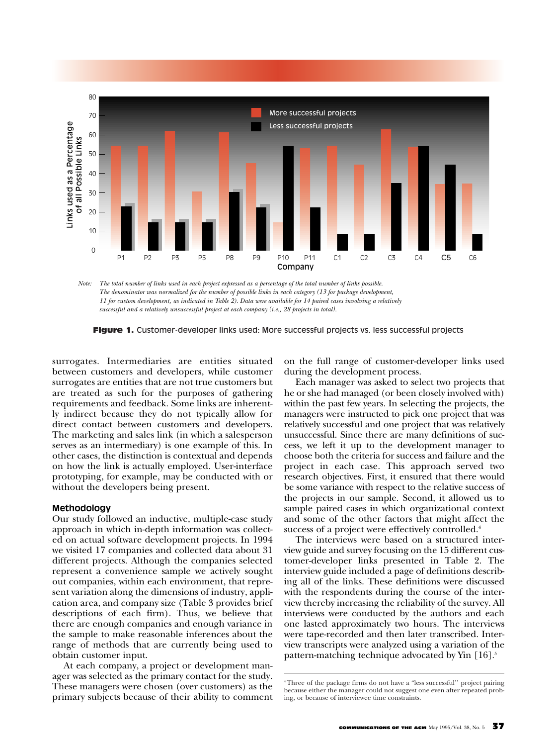

*The total number of links used in each project expressed as a percentage of the total number of links possible. Note: The denominator was normalized for the number of possible links in each category (13 for package development, 11 for custom development, as indicated in Table 2). Data were available for 14 paired cases involving a relatively successful and a relatively unsuccessful project at each company (i.e., 28 projects in total).*

**Figure 1.** Customer-developer links used: More successful projects vs. less successful projects

surrogates. Intermediaries are entities situated between customers and developers, while customer surrogates are entities that are not true customers but are treated as such for the purposes of gathering requirements and feedback. Some links are inherently indirect because they do not typically allow for direct contact between customers and developers. The marketing and sales link (in which a salesperson serves as an intermediary) is one example of this. In other cases, the distinction is contextual and depends on how the link is actually employed. User-interface prototyping, for example, may be conducted with or without the developers being present.

## **Methodology**

Our study followed an inductive, multiple-case study approach in which in-depth information was collected on actual software development projects. In 1994 we visited 17 companies and collected data about 31 different projects. Although the companies selected represent a convenience sample we actively sought out companies, within each environment, that represent variation along the dimensions of industry, application area, and company size (Table 3 provides brief descriptions of each firm). Thus, we believe that there are enough companies and enough variance in the sample to make reasonable inferences about the range of methods that are currently being used to obtain customer input.

At each company, a project or development manager was selected as the primary contact for the study. These managers were chosen (over customers) as the primary subjects because of their ability to comment

on the full range of customer-developer links used during the development process.

Each manager was asked to select two projects that he or she had managed (or been closely involved with) within the past few years. In selecting the projects, the managers were instructed to pick one project that was relatively successful and one project that was relatively unsuccessful. Since there are many definitions of success, we left it up to the development manager to choose both the criteria for success and failure and the project in each case. This approach served two research objectives. First, it ensured that there would be some variance with respect to the relative success of the projects in our sample. Second, it allowed us to sample paired cases in which organizational context and some of the other factors that might affect the success of a project were effectively controlled.<sup>4</sup>

The interviews were based on a structured interview guide and survey focusing on the 15 different customer-developer links presented in Table 2. The interview guide included a page of definitions describing all of the links. These definitions were discussed with the respondents during the course of the interview thereby increasing the reliability of the survey. All interviews were conducted by the authors and each one lasted approximately two hours. The interviews were tape-recorded and then later transcribed. Interview transcripts were analyzed using a variation of the pattern-matching technique advocated by Yin [16].<sup>5</sup>

<sup>4</sup> Three of the package firms do not have a "less successful'' project pairing because either the manager could not suggest one even after repeated probing, or because of interviewee time constraints.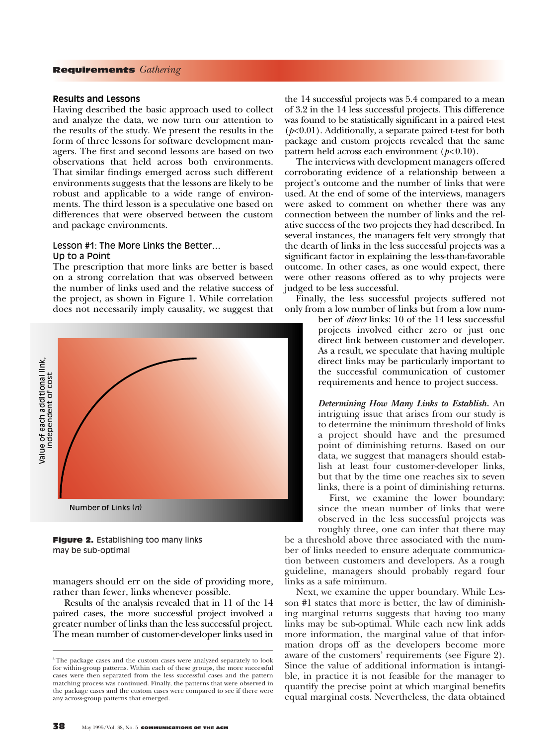## **Results and Lessons**

Having described the basic approach used to collect and analyze the data, we now turn our attention to the results of the study. We present the results in the form of three lessons for software development managers. The first and second lessons are based on two observations that held across both environments. That similar findings emerged across such different environments suggests that the lessons are likely to be robust and applicable to a wide range of environments. The third lesson is a speculative one based on differences that were observed between the custom and package environments.

# Lesson #1: The More Links the Better… Up to a Point

The prescription that more links are better is based on a strong correlation that was observed between the number of links used and the relative success of the project, as shown in Figure 1. While correlation does not necessarily imply causality, we suggest that



Figure 2. Establishing too many links may be sub-optimal

managers should err on the side of providing more, rather than fewer, links whenever possible.

Results of the analysis revealed that in 11 of the 14 paired cases, the more successful project involved a greater number of links than the less successful project. The mean number of customer-developer links used in the 14 successful projects was 5.4 compared to a mean of 3.2 in the 14 less successful projects. This difference was found to be statistically significant in a paired t-test (*p*<0.01). Additionally, a separate paired t-test for both package and custom projects revealed that the same pattern held across each environment ( $p<0.10$ ).

The interviews with development managers offered corroborating evidence of a relationship between a project's outcome and the number of links that were used. At the end of some of the interviews, managers were asked to comment on whether there was any connection between the number of links and the relative success of the two projects they had described. In several instances, the managers felt very strongly that the dearth of links in the less successful projects was a significant factor in explaining the less-than-favorable outcome. In other cases, as one would expect, there were other reasons offered as to why projects were judged to be less successful.

Finally, the less successful projects suffered not only from a low number of links but from a low num-

> ber of *direct* links: 10 of the 14 less successful projects involved either zero or just one direct link between customer and developer. As a result, we speculate that having multiple direct links may be particularly important to the successful communication of customer requirements and hence to project success.

> *Determining How Many Links to Establish.* An intriguing issue that arises from our study is to determine the minimum threshold of links a project should have and the presumed point of diminishing returns. Based on our data, we suggest that managers should establish at least four customer-developer links, but that by the time one reaches six to seven links, there is a point of diminishing returns.

> First, we examine the lower boundary: since the mean number of links that were observed in the less successful projects was roughly three, one can infer that there may

be a threshold above three associated with the number of links needed to ensure adequate communication between customers and developers. As a rough guideline, managers should probably regard four links as a safe minimum.

Next, we examine the upper boundary. While Lesson #1 states that more is better, the law of diminishing marginal returns suggests that having too many links may be sub-optimal. While each new link adds more information, the marginal value of that information drops off as the developers become more aware of the customers' requirements (see Figure 2). Since the value of additional information is intangible, in practice it is not feasible for the manager to quantify the precise point at which marginal benefits equal marginal costs. Nevertheless, the data obtained

<sup>&</sup>lt;sup>5</sup>The package cases and the custom cases were analyzed separately to look for within-group patterns. Within each of these groups, the more successful cases were then separated from the less successful cases and the pattern matching process was continued. Finally, the patterns that were observed in the package cases and the custom cases were compared to see if there were any across-group patterns that emerged.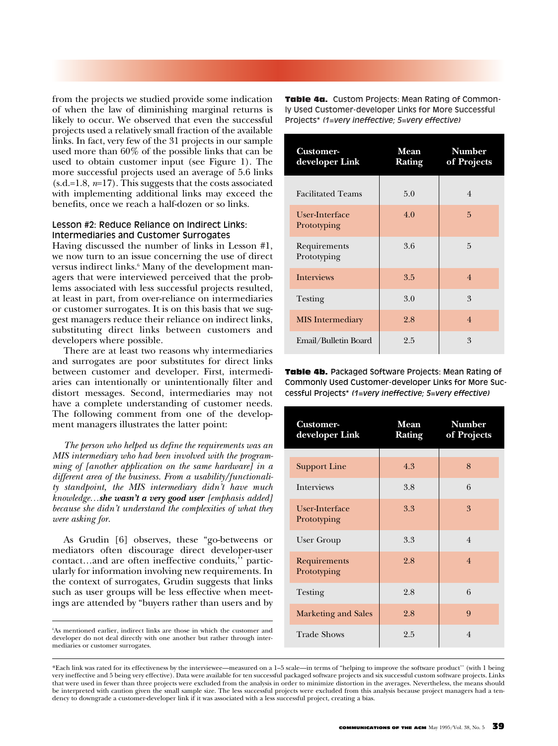from the projects we studied provide some indication of when the law of diminishing marginal returns is likely to occur. We observed that even the successful projects used a relatively small fraction of the available links. In fact, very few of the 31 projects in our sample used more than 60% of the possible links that can be used to obtain customer input (see Figure 1). The more successful projects used an average of 5.6 links (s.d.=1.8, *n*=17). This suggests that the costs associated with implementing additional links may exceed the benefits, once we reach a half-dozen or so links.

## Lesson #2: Reduce Reliance on Indirect Links: Intermediaries and Customer Surrogates

Having discussed the number of links in Lesson #1, we now turn to an issue concerning the use of direct versus indirect links.<sup>6</sup> Many of the development managers that were interviewed perceived that the problems associated with less successful projects resulted, at least in part, from over-reliance on intermediaries or customer surrogates. It is on this basis that we suggest managers reduce their reliance on indirect links, substituting direct links between customers and developers where possible.

There are at least two reasons why intermediaries and surrogates are poor substitutes for direct links between customer and developer. First, intermediaries can intentionally or unintentionally filter and distort messages. Second, intermediaries may not have a complete understanding of customer needs. The following comment from one of the development managers illustrates the latter point:

*The person who helped us define the requirements was an MIS intermediary who had been involved with the programming of [another application on the same hardware] in a different area of the business. From a usability/functionality standpoint, the MIS intermediary didn't have much knowledge…she wasn't a very good user [emphasis added] because she didn't understand the complexities of what they were asking for.*

As Grudin [6] observes, these "go-betweens or mediators often discourage direct developer-user contact…and are often ineffective conduits,'' particularly for information involving new requirements. In the context of surrogates, Grudin suggests that links such as user groups will be less effective when meetings are attended by "buyers rather than users and by

6 As mentioned earlier, indirect links are those in which the customer and developer do not deal directly with one another but rather through intermediaries or customer surrogates.

Table 4a. Custom Projects: Mean Rating of Commonly Used Customer-developer Links for More Successful Projects\* *(1=very ineffective; 5=very effective)*

| <b>Customer-</b><br>developer Link | Mean<br>Rating | <b>Number</b><br>of Projects |
|------------------------------------|----------------|------------------------------|
| <b>Facilitated Teams</b>           | 5.0            | $\overline{4}$               |
| User-Interface<br>Prototyping      | 4.0            | 5                            |
| Requirements<br>Prototyping        | 3.6            | $\overline{5}$               |
| <b>Interviews</b>                  | 3.5            | $\overline{4}$               |
| Testing                            | 3.0            | 3                            |
| <b>MIS</b> Intermediary            | 2.8            | $\overline{4}$               |
| Email/Bulletin Board               | 2.5            | 3                            |

Table 4b. Packaged Software Projects: Mean Rating of Commonly Used Customer-developer Links for More Successful Projects\* *(1=very ineffective; 5=very effective)*

| <b>Customer-</b><br>developer Link | Mean<br>Rating | <b>Number</b><br>of Projects |
|------------------------------------|----------------|------------------------------|
| <b>Support Line</b>                | 4.3            | 8                            |
| <b>Interviews</b>                  | 3.8            | 6                            |
| User-Interface<br>Prototyping      | 3.3            | 3                            |
| User Group                         | 3.3            | $\overline{4}$               |
| Requirements<br>Prototyping        | 2.8            | $\overline{4}$               |
| Testing                            | 2.8            | 6                            |
| <b>Marketing and Sales</b>         | 2.8            | 9                            |
| <b>Trade Shows</b>                 | 2.5            | $\overline{4}$               |

\*Each link was rated for its effectiveness by the interviewee—measured on a 1–5 scale—in terms of "helping to improve the software product'' (with 1 being very ineffective and 5 being very effective). Data were available for ten successful packaged software projects and six successful custom software projects. Links that were used in fewer than three projects were excluded from the analysis in order to minimize distortion in the averages. Nevertheless, the means should be interpreted with caution given the small sample size. The less successful projects were excluded from this analysis because project managers had a tendency to downgrade a customer-developer link if it was associated with a less successful project, creating a bias.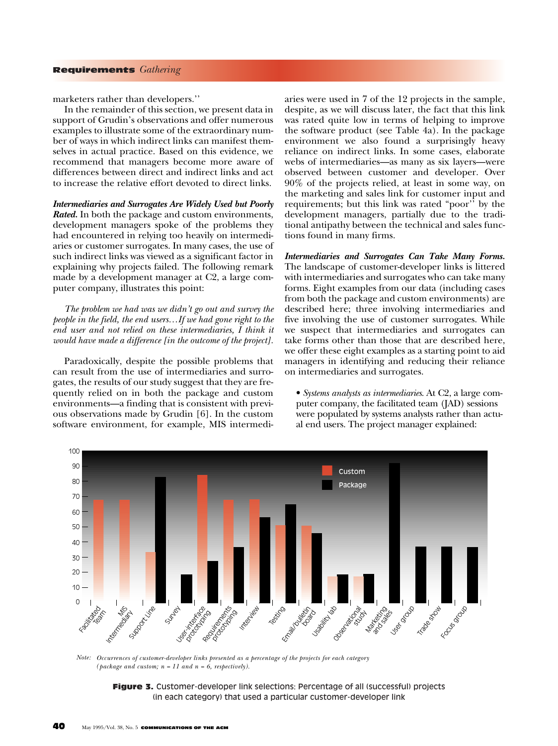marketers rather than developers.''

In the remainder of this section, we present data in support of Grudin's observations and offer numerous examples to illustrate some of the extraordinary number of ways in which indirect links can manifest themselves in actual practice. Based on this evidence, we recommend that managers become more aware of differences between direct and indirect links and act to increase the relative effort devoted to direct links.

*Intermediaries and Surrogates Are Widely Used but Poorly Rated.* In both the package and custom environments, development managers spoke of the problems they had encountered in relying too heavily on intermediaries or customer surrogates. In many cases, the use of such indirect links was viewed as a significant factor in explaining why projects failed. The following remark made by a development manager at C2, a large computer company, illustrates this point:

*The problem we had was we didn't go out and survey the people in the field, the end users…If we had gone right to the end user and not relied on these intermediaries, I think it would have made a difference [in the outcome of the project].*

Paradoxically, despite the possible problems that can result from the use of intermediaries and surrogates, the results of our study suggest that they are frequently relied on in both the package and custom environments—a finding that is consistent with previous observations made by Grudin [6]. In the custom software environment, for example, MIS intermediaries were used in 7 of the 12 projects in the sample, despite, as we will discuss later, the fact that this link was rated quite low in terms of helping to improve the software product (see Table 4a). In the package environment we also found a surprisingly heavy reliance on indirect links. In some cases, elaborate webs of intermediaries—as many as six layers—were observed between customer and developer. Over 90% of the projects relied, at least in some way, on the marketing and sales link for customer input and requirements; but this link was rated "poor" by the development managers, partially due to the traditional antipathy between the technical and sales functions found in many firms.

*Intermediaries and Surrogates Can Take Many Forms.* The landscape of customer-developer links is littered with intermediaries and surrogates who can take many forms. Eight examples from our data (including cases from both the package and custom environments) are described here; three involving intermediaries and five involving the use of customer surrogates. While we suspect that intermediaries and surrogates can take forms other than those that are described here, we offer these eight examples as a starting point to aid managers in identifying and reducing their reliance on intermediaries and surrogates.

• *Systems analysts as intermediaries*. At C2, a large computer company, the facilitated team (JAD) sessions were populated by systems analysts rather than actual end users. The project manager explained:



*Occurrences of customer-developer links presented as a percentage of the projects for each category Note:* $(\textit{package and custom; } n = 11 \text{ and } n = 6, \text{ respectively}).$ 

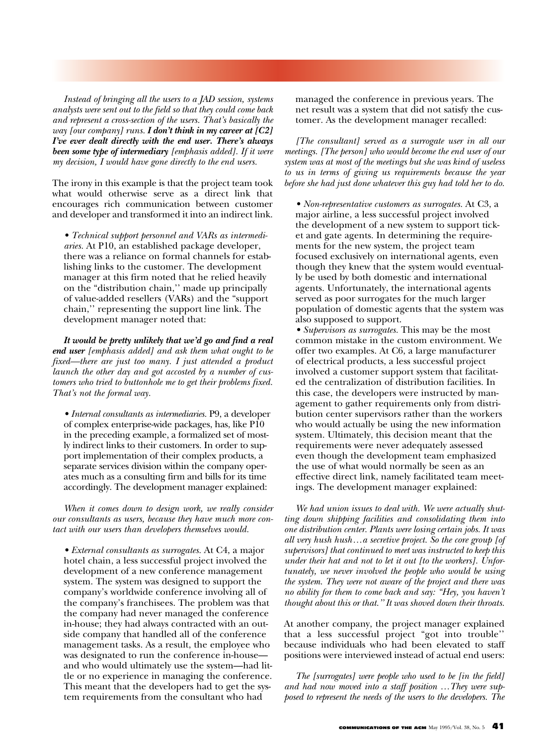*Instead of bringing all the users to a JAD session, systems analysts were sent out to the field so that they could come back and represent a cross-section of the users. That's basically the way [our company] runs. I don't think in my career at [C2] I've ever dealt directly with the end user. There's always been some type of intermediary [emphasis added]. If it were my decision, I would have gone directly to the end users.*

The irony in this example is that the project team took what would otherwise serve as a direct link that encourages rich communication between customer and developer and transformed it into an indirect link.

*• Technical support personnel and VARs as intermediaries.* At P10, an established package developer, there was a reliance on formal channels for establishing links to the customer. The development manager at this firm noted that he relied heavily on the "distribution chain,'' made up principally of value-added resellers (VARs) and the "support chain,'' representing the support line link. The development manager noted that:

*It would be pretty unlikely that we'd go and find a real end user [emphasis added] and ask them what ought to be fixed—there are just too many. I just attended a product launch the other day and got accosted by a number of customers who tried to buttonhole me to get their problems fixed. That's not the formal way.*

*• Internal consultants as intermediaries.* P9, a developer of complex enterprise-wide packages, has, like P10 in the preceding example, a formalized set of mostly indirect links to their customers. In order to support implementation of their complex products, a separate services division within the company operates much as a consulting firm and bills for its time accordingly. The development manager explained:

*When it comes down to design work, we really consider our consultants as users, because they have much more contact with our users than developers themselves would.*

*• External consultants as surrogates.* At C4, a major hotel chain, a less successful project involved the development of a new conference management system. The system was designed to support the company's worldwide conference involving all of the company's franchisees. The problem was that the company had never managed the conference in-house; they had always contracted with an outside company that handled all of the conference management tasks. As a result, the employee who was designated to run the conference in-house and who would ultimately use the system—had little or no experience in managing the conference. This meant that the developers had to get the system requirements from the consultant who had

managed the conference in previous years. The net result was a system that did not satisfy the customer. As the development manager recalled:

*[The consultant] served as a surrogate user in all our meetings. [The person] who would become the end user of our system was at most of the meetings but she was kind of useless to us in terms of giving us requirements because the year before she had just done whatever this guy had told her to do.*

*• Non-representative customers as surrogates.* At C3, a major airline, a less successful project involved the development of a new system to support ticket and gate agents. In determining the requirements for the new system, the project team focused exclusively on international agents, even though they knew that the system would eventually be used by both domestic and international agents. Unfortunately, the international agents served as poor surrogates for the much larger population of domestic agents that the system was also supposed to support.

*• Supervisors as surrogates.* This may be the most common mistake in the custom environment. We offer two examples. At C6, a large manufacturer of electrical products, a less successful project involved a customer support system that facilitated the centralization of distribution facilities. In this case, the developers were instructed by management to gather requirements only from distribution center supervisors rather than the workers who would actually be using the new information system. Ultimately, this decision meant that the requirements were never adequately assessed even though the development team emphasized the use of what would normally be seen as an effective direct link, namely facilitated team meetings. The development manager explained:

*We had union issues to deal with. We were actually shutting down shipping facilities and consolidating them into one distribution center. Plants were losing certain jobs. It was all very hush hush…a secretive project. So the core group [of supervisors] that continued to meet was instructed to keep this under their hat and not to let it out [to the workers]. Unfortunately, we never involved the people who would be using the system. They were not aware of the project and there was no ability for them to come back and say: "Hey, you haven't thought about this or that.'' It was shoved down their throats.*

At another company, the project manager explained that a less successful project "got into trouble'' because individuals who had been elevated to staff positions were interviewed instead of actual end users:

*The [surrogates] were people who used to be [in the field] and had now moved into a staff position …They were supposed to represent the needs of the users to the developers. The*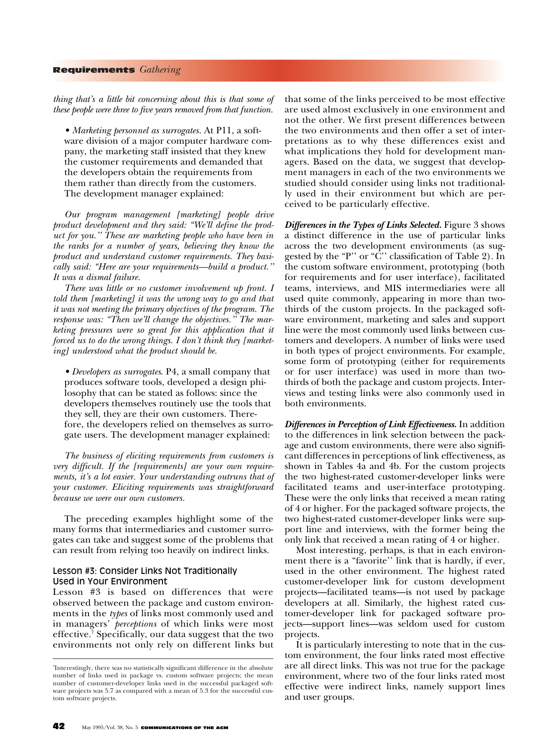*thing that's a little bit concerning about this is that some of these people were three to five years removed from that function.*

*• Marketing personnel as surrogates.* At P11, a software division of a major computer hardware company, the marketing staff insisted that they knew the customer requirements and demanded that the developers obtain the requirements from them rather than directly from the customers. The development manager explained:

*Our program management [marketing] people drive product development and they said: "We'll define the product for you.'' These are marketing people who have been in the ranks for a number of years, believing they know the product and understand customer requirements. They basically said: "Here are your requirements—build a product.'' It was a dismal failure.*

*There was little or no customer involvement up front. I told them [marketing] it was the wrong way to go and that it was not meeting the primary objectives of the program. The response was: "Then we'll change the objectives.'' The marketing pressures were so great for this application that it forced us to do the wrong things. I don't think they [marketing] understood what the product should be.*

*• Developers as surrogates*. P4, a small company that produces software tools, developed a design philosophy that can be stated as follows: since the developers themselves routinely use the tools that they sell, they are their own customers. Therefore, the developers relied on themselves as surrogate users. The development manager explained:

*The business of eliciting requirements from customers is very difficult. If the [requirements] are your own requirements, it's a lot easier. Your understanding outruns that of your customer. Eliciting requirements was straightforward because we were our own customers.*

The preceding examples highlight some of the many forms that intermediaries and customer surrogates can take and suggest some of the problems that can result from relying too heavily on indirect links.

## Lesson #3: Consider Links Not Traditionally Used in Your Environment

Lesson #3 is based on differences that were observed between the package and custom environments in the *types* of links most commonly used and in managers' *perceptions* of which links were most effective.7 Specifically, our data suggest that the two environments not only rely on different links but that some of the links perceived to be most effective are used almost exclusively in one environment and not the other. We first present differences between the two environments and then offer a set of interpretations as to why these differences exist and what implications they hold for development managers. Based on the data, we suggest that development managers in each of the two environments we studied should consider using links not traditionally used in their environment but which are perceived to be particularly effective.

*Differences in the Types of Links Selected.* Figure 3 shows a distinct difference in the use of particular links across the two development environments (as suggested by the "P" or " $\tilde{C}$ " classification of Table 2). In the custom software environment, prototyping (both for requirements and for user interface), facilitated teams, interviews, and MIS intermediaries were all used quite commonly, appearing in more than twothirds of the custom projects. In the packaged software environment, marketing and sales and support line were the most commonly used links between customers and developers. A number of links were used in both types of project environments. For example, some form of prototyping (either for requirements or for user interface) was used in more than twothirds of both the package and custom projects. Interviews and testing links were also commonly used in both environments.

*Differences in Perception of Link Effectiveness.* In addition to the differences in link selection between the package and custom environments, there were also significant differences in perceptions of link effectiveness, as shown in Tables 4a and 4b. For the custom projects the two highest-rated customer-developer links were facilitated teams and user-interface prototyping. These were the only links that received a mean rating of 4 or higher. For the packaged software projects, the two highest-rated customer-developer links were support line and interviews, with the former being the only link that received a mean rating of 4 or higher.

Most interesting, perhaps, is that in each environment there is a "favorite" link that is hardly, if ever, used in the other environment. The highest rated customer-developer link for custom development projects—facilitated teams—is not used by package developers at all. Similarly, the highest rated customer-developer link for packaged software projects—support lines—was seldom used for custom projects.

It is particularly interesting to note that in the custom environment, the four links rated most effective are all direct links. This was not true for the package environment, where two of the four links rated most effective were indirect links, namely support lines and user groups.

<sup>7</sup> Interestingly, there was no statistically significant difference in the absolute number of links used in package vs. custom software projects; the mean number of customer-developer links used in the successful packaged software projects was 5.7 as compared with a mean of 5.3 for the successful custom software projects.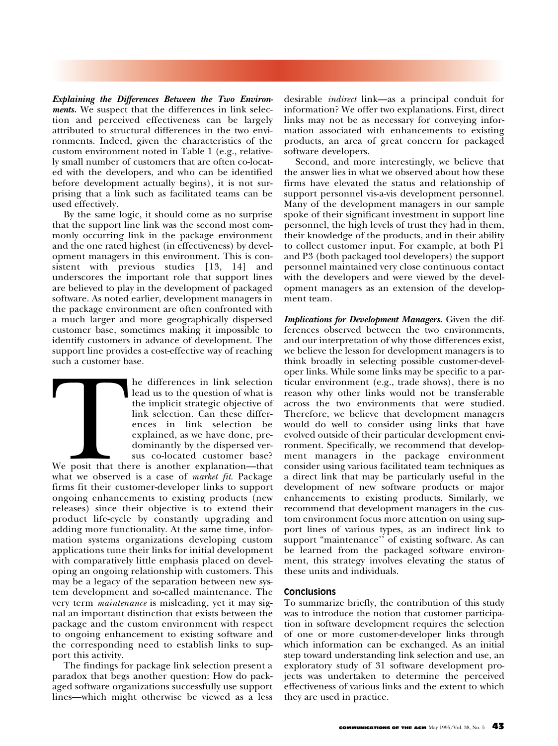*Explaining the Differences Between the Two Environments.* We suspect that the differences in link selection and perceived effectiveness can be largely attributed to structural differences in the two environments. Indeed, given the characteristics of the custom environment noted in Table 1 (e.g., relatively small number of customers that are often co-located with the developers, and who can be identified before development actually begins), it is not surprising that a link such as facilitated teams can be used effectively.

By the same logic, it should come as no surprise that the support line link was the second most commonly occurring link in the package environment and the one rated highest (in effectiveness) by development managers in this environment. This is consistent with previous studies [13, 14] and underscores the important role that support lines are believed to play in the development of packaged software. As noted earlier, development managers in the package environment are often confronted with a much larger and more geographically dispersed customer base, sometimes making it impossible to identify customers in advance of development. The support line provides a cost-effective way of reaching such a customer base.

The differences in link selection<br>lead us to the question of what is<br>the implicit strategic objective of<br>link selection. Can these differ-<br>ences in link selection be<br>explained, as we have done, pre-<br>dominantly by the dispe lead us to the question of what is the implicit strategic objective of link selection. Can these differences in link selection be explained, as we have done, predominantly by the dispersed versus co-located customer base?

We posit that there is another explanation—that what we observed is a case of *market fit*. Package firms fit their customer-developer links to support ongoing enhancements to existing products (new releases) since their objective is to extend their product life-cycle by constantly upgrading and adding more functionality. At the same time, information systems organizations developing custom applications tune their links for initial development with comparatively little emphasis placed on developing an ongoing relationship with customers. This may be a legacy of the separation between new system development and so-called maintenance. The very term *maintenance* is misleading, yet it may signal an important distinction that exists between the package and the custom environment with respect to ongoing enhancement to existing software and the corresponding need to establish links to support this activity.

The findings for package link selection present a paradox that begs another question: How do packaged software organizations successfully use support lines—which might otherwise be viewed as a less desirable *indirect* link—as a principal conduit for information? We offer two explanations. First, direct links may not be as necessary for conveying information associated with enhancements to existing products, an area of great concern for packaged software developers.

Second, and more interestingly, we believe that the answer lies in what we observed about how these firms have elevated the status and relationship of support personnel vis-a-vis development personnel. Many of the development managers in our sample spoke of their significant investment in support line personnel, the high levels of trust they had in them, their knowledge of the products, and in their ability to collect customer input. For example, at both P1 and P3 (both packaged tool developers) the support personnel maintained very close continuous contact with the developers and were viewed by the development managers as an extension of the development team.

*Implications for Development Managers.* Given the differences observed between the two environments, and our interpretation of why those differences exist, we believe the lesson for development managers is to think broadly in selecting possible customer-developer links. While some links may be specific to a particular environment (e.g., trade shows), there is no reason why other links would not be transferable across the two environments that were studied. Therefore, we believe that development managers would do well to consider using links that have evolved outside of their particular development environment. Specifically, we recommend that development managers in the package environment consider using various facilitated team techniques as a direct link that may be particularly useful in the development of new software products or major enhancements to existing products. Similarly, we recommend that development managers in the custom environment focus more attention on using support lines of various types, as an indirect link to support "maintenance'' of existing software. As can be learned from the packaged software environment, this strategy involves elevating the status of these units and individuals.

## **Conclusions**

To summarize briefly, the contribution of this study was to introduce the notion that customer participation in software development requires the selection of one or more customer-developer links through which information can be exchanged. As an initial step toward understanding link selection and use, an exploratory study of 31 software development projects was undertaken to determine the perceived effectiveness of various links and the extent to which they are used in practice.